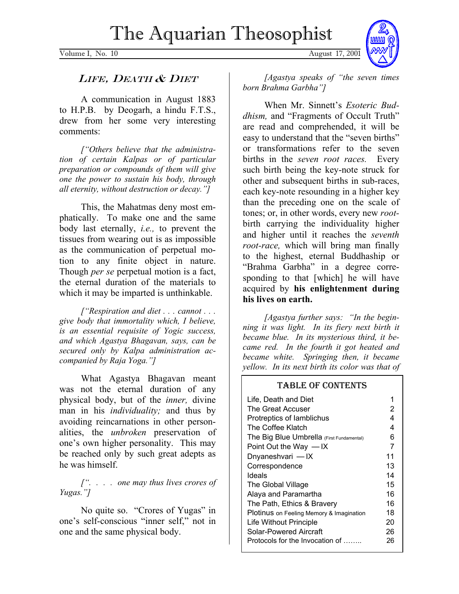Volume I, No. 10 August 17, 2001



## LIFE, DEATH & DIET

A communication in August 1883 to H.P.B. by Deogarh, a hindu F.T.S., drew from her some very interesting comments:

*["Others believe that the administration of certain Kalpas or of particular preparation or compounds of them will give one the power to sustain his body, through all eternity, without destruction or decay."]*

This, the Mahatmas deny most emphatically. To make one and the same body last eternally, *i.e.,* to prevent the tissues from wearing out is as impossible as the communication of perpetual motion to any finite object in nature. Though *per se* perpetual motion is a fact, the eternal duration of the materials to which it may be imparted is unthinkable.

*["Respiration and diet . . . cannot . . . give body that immortality which, I believe, is an essential requisite of Yogic success, and which Agastya Bhagavan, says, can be secured only by Kalpa administration accompanied by Raja Yoga."]*

What Agastya Bhagavan meant was not the eternal duration of any physical body, but of the *inner,* divine man in his *individuality;* and thus by avoiding reincarnations in other personalities, the *unbroken* preservation of one's own higher personality. This may be reached only by such great adepts as he was himself.

*[". . . . one may thus lives crores of Yugas."]*

No quite so. "Crores of Yugas" in one's self-conscious "inner self," not in one and the same physical body.

*[Agastya speaks of "the seven times born Brahma Garbha"]*

When Mr. Sinnett's *Esoteric Buddhism,* and "Fragments of Occult Truth" are read and comprehended, it will be easy to understand that the "seven births" or transformations refer to the seven births in the *seven root races.* Every such birth being the key-note struck for other and subsequent births in sub-races, each key-note resounding in a higher key than the preceding one on the scale of tones; or, in other words, every new *root*birth carrying the individuality higher and higher until it reaches the *seventh root-race,* which will bring man finally to the highest, eternal Buddhaship or "Brahma Garbha" in a degree corresponding to that [which] he will have acquired by **his enlightenment during his lives on earth.** 

*[Agastya further says: "In the beginning it was light. In its fiery next birth it became blue. In its mysterious third, it became red. In the fourth it got heated and became white. Springing then, it became yellow. In its next birth its color was that of* 

# TABLE OF CONTENTS

| Life, Death and Diet                            |    |
|-------------------------------------------------|----|
| The Great Accuser                               | 2  |
| Protreptics of lamblichus                       | 4  |
| The Coffee Klatch                               | 4  |
| The Big Blue Umbrella (First Fundamental)       | 6  |
| Point Out the Way $-$ IX                        | 7  |
| Dnyaneshvari - IX                               | 11 |
| Correspondence                                  | 13 |
| Ideals                                          | 14 |
| The Global Village                              | 15 |
| Alaya and Paramartha                            | 16 |
| The Path, Ethics & Bravery                      | 16 |
| <b>Plotinus</b> on Feeling Memory & Imagination | 18 |
| Life Without Principle                          | 20 |
| Solar-Powered Aircraft                          | 26 |
| Protocols for the Invocation of                 | 26 |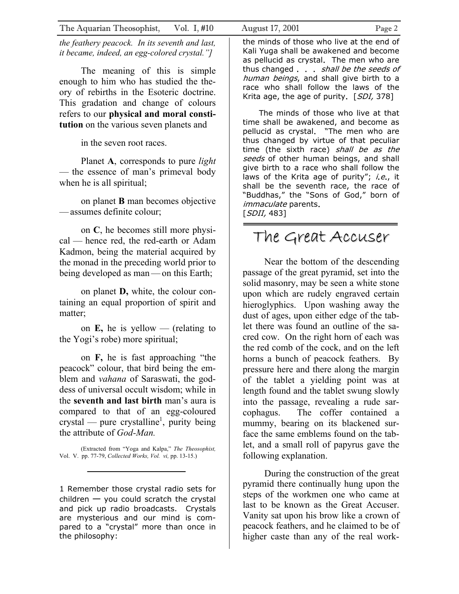The Aquarian Theosophist, Vol. I, #10 August 17, 2001 Page 2

*the feathery peacock. In its seventh and last, it became, indeed, an egg-colored crystal."]*

The meaning of this is simple enough to him who has studied the theory of rebirths in the Esoteric doctrine. This gradation and change of colours refers to our **physical and moral constitution** on the various seven planets and

in the seven root races.

Planet **A**, corresponds to pure *light* — the essence of man's primeval body when he is all spiritual;

on planet **B** man becomes objective —assumes definite colour;

on **C**, he becomes still more physical — hence red, the red-earth or Adam Kadmon, being the material acquired by the monad in the preceding world prior to being developed as man—on this Earth;

on planet **D,** white, the colour containing an equal proportion of spirit and matter;

on **E,** he is yellow — (relating to the Yogi's robe) more spiritual;

on **F,** he is fast approaching "the peacock" colour, that bird being the emblem and *vahana* of Saraswati, the goddess of universal occult wisdom; while in the **seventh and last birth** man's aura is compared to that of an egg-coloured  $crystal$  — pure crystalline<sup>1</sup>, purity being the attribute of *God-Man.*

(Extracted from "Yoga and Kalpa," *The Theosophist,* Vol. V. pp. 77-79, *Collected Works, Vol. vi,* pp. 13-15.)

1 Remember those crystal radio sets for children — you could scratch the crystal and pick up radio broadcasts. Crystals are mysterious and our mind is compared to a "crystal" more than once in the philosophy:

the minds of those who live at the end of Kali Yuga shall be awakened and become as pellucid as crystal. The men who are thus changed . . . *shall be the seeds of* human beings, and shall give birth to a race who shall follow the laws of the Krita age, the age of purity.  $[SDI, 378]$ 

The minds of those who live at that time shall be awakened, and become as pellucid as crystal. "The men who are thus changed by virtue of that peculiar time (the sixth race) shall be as the seeds of other human beings, and shall give birth to a race who shall follow the laws of the Krita age of purity"; i.e., it shall be the seventh race, the race of "Buddhas," the "Sons of God," born of immaculate parents.  $[SDII, 483]$ 

# The Great Accuser

Near the bottom of the descending passage of the great pyramid, set into the solid masonry, may be seen a white stone upon which are rudely engraved certain hieroglyphics. Upon washing away the dust of ages, upon either edge of the tablet there was found an outline of the sacred cow. On the right horn of each was the red comb of the cock, and on the left horns a bunch of peacock feathers. By pressure here and there along the margin of the tablet a yielding point was at length found and the tablet swung slowly into the passage, revealing a rude sarcophagus. The coffer contained a mummy, bearing on its blackened surface the same emblems found on the tablet, and a small roll of papyrus gave the following explanation.

During the construction of the great pyramid there continually hung upon the steps of the workmen one who came at last to be known as the Great Accuser. Vanity sat upon his brow like a crown of peacock feathers, and he claimed to be of higher caste than any of the real work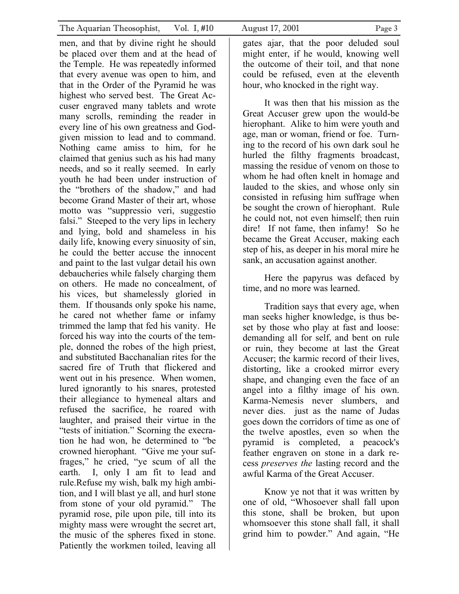men, and that by divine right he should be placed over them and at the head of the Temple. He was repeatedly informed that every avenue was open to him, and that in the Order of the Pyramid he was highest who served best. The Great Accuser engraved many tablets and wrote many scrolls, reminding the reader in every line of his own greatness and Godgiven mission to lead and to command. Nothing came amiss to him, for he claimed that genius such as his had many needs, and so it really seemed. In early youth he had been under instruction of the "brothers of the shadow," and had become Grand Master of their art, whose motto was "suppressio veri, suggestio falsi." Steeped to the very lips in lechery and lying, bold and shameless in his daily life, knowing every sinuosity of sin, he could the better accuse the innocent and paint to the last vulgar detail his own debaucheries while falsely charging them on others. He made no concealment, of his vices, but shamelessly gloried in them. If thousands only spoke his name, he cared not whether fame or infamy trimmed the lamp that fed his vanity. He forced his way into the courts of the temple, donned the robes of the high priest, and substituted Bacchanalian rites for the sacred fire of Truth that flickered and went out in his presence. When women, lured ignorantly to his snares, protested their allegiance to hymeneal altars and refused the sacrifice, he roared with laughter, and praised their virtue in the "tests of initiation." Scorning the execration he had won, he determined to "be crowned hierophant. "Give me your suffrages," he cried, "ye scum of all the earth. I, only I am fit to lead and rule.Refuse my wish, balk my high ambition, and I will blast ye all, and hurl stone from stone of your old pyramid." The pyramid rose, pile upon pile, till into its mighty mass were wrought the secret art, the music of the spheres fixed in stone. Patiently the workmen toiled, leaving all

gates ajar, that the poor deluded soul might enter, if he would, knowing well the outcome of their toil, and that none could be refused, even at the eleventh hour, who knocked in the right way.

It was then that his mission as the Great Accuser grew upon the would-be hierophant. Alike to him were youth and age, man or woman, friend or foe. Turning to the record of his own dark soul he hurled the filthy fragments broadcast, massing the residue of venom on those to whom he had often knelt in homage and lauded to the skies, and whose only sin consisted in refusing him suffrage when be sought the crown of hierophant. Rule he could not, not even himself; then ruin dire! If not fame, then infamy! So he became the Great Accuser, making each step of his, as deeper in his moral mire he sank, an accusation against another.

Here the papyrus was defaced by time, and no more was learned.

Tradition says that every age, when man seeks higher knowledge, is thus beset by those who play at fast and loose: demanding all for self, and bent on rule or ruin, they become at last the Great Accuser; the karmic record of their lives, distorting, like a crooked mirror every shape, and changing even the face of an angel into a filthy image of his own. Karma-Nemesis never slumbers, and never dies. just as the name of Judas goes down the corridors of time as one of the twelve apostles, even so when the pyramid is completed, a peacock's feather engraven on stone in a dark recess *preserves the* lasting record and the awful Karma of the Great Accuser.

Know ye not that it was written by one of old, "Whosoever shall fall upon this stone, shall be broken, but upon whomsoever this stone shall fall, it shall grind him to powder." And again, "He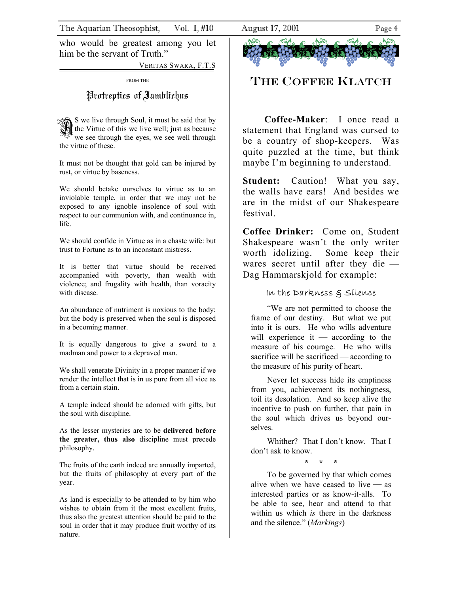who would be greatest among you let him be the servant of Truth."

VERITAS SWARA, F.T.S

FROM THE

## Protreptics of Iamblichus

S we live through Soul, it must be said that by<br>the Virtue of this we live well; just as because we see through the eyes, we see well through the virtue of these.

It must not be thought that gold can be injured by rust, or virtue by baseness.

We should betake ourselves to virtue as to an inviolable temple, in order that we may not be exposed to any ignoble insolence of soul with respect to our communion with, and continuance in, life.

We should confide in Virtue as in a chaste wife: but trust to Fortune as to an inconstant mistress.

It is better that virtue should be received accompanied with poverty, than wealth with violence; and frugality with health, than voracity with disease.

An abundance of nutriment is noxious to the body; but the body is preserved when the soul is disposed in a becoming manner.

It is equally dangerous to give a sword to a madman and power to a depraved man.

We shall venerate Divinity in a proper manner if we render the intellect that is in us pure from all vice as from a certain stain.

A temple indeed should be adorned with gifts, but the soul with discipline.

As the lesser mysteries are to be **delivered before the greater, thus also** discipline must precede philosophy.

The fruits of the earth indeed are annually imparted, but the fruits of philosophy at every part of the year.

As land is especially to be attended to by him who wishes to obtain from it the most excellent fruits, thus also the greatest attention should be paid to the soul in order that it may produce fruit worthy of its nature.

THE COFFEE KLATCH

**Coffee-Maker**: I once read a statement that England was cursed to be a country of shop-keepers. Was quite puzzled at the time, but think maybe I'm beginning to understand.

**Student:** Caution! What you say, the walls have ears! And besides we are in the midst of our Shakespeare festival.

**Coffee Drinker:** Come on, Student Shakespeare wasn't the only writer worth idolizing. Some keep their wares secret until after they die — Dag Hammarskjold for example:

#### In the Darkness & Silence

"We are not permitted to choose the frame of our destiny. But what we put into it is ours. He who wills adventure will experience it — according to the measure of his courage. He who wills sacrifice will be sacrificed — according to the measure of his purity of heart.

Never let success hide its emptiness from you, achievement its nothingness, toil its desolation. And so keep alive the incentive to push on further, that pain in the soul which drives us beyond ourselves.

Whither? That I don't know. That I don't ask to know.

**\* \* \*** 

To be governed by that which comes alive when we have ceased to live  $-$  as interested parties or as know-it-alls. To be able to see, hear and attend to that within us which *is* there in the darkness and the silence." (*Markings*)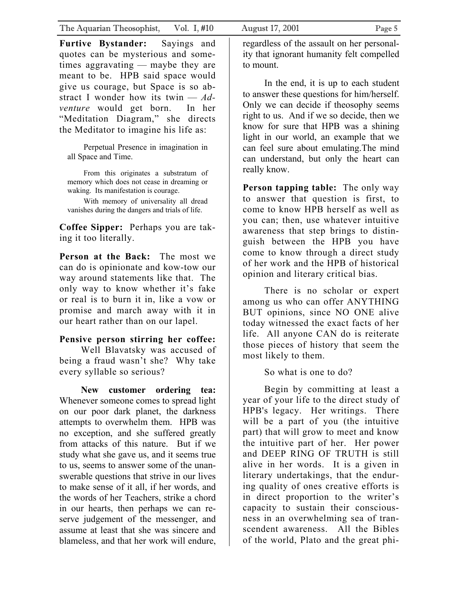In the end, it is up to each student to answer these questions for him/herself. Only we can decide if theosophy seems right to us. And if we so decide, then we know for sure that HPB was a shining light in our world, an example that we can feel sure about emulating.The mind can understand, but only the heart can really know.

**Person tapping table:** The only way to answer that question is first, to come to know HPB herself as well as you can; then, use whatever intuitive awareness that step brings to distinguish between the HPB you have come to know through a direct study of her work and the HPB of historical opinion and literary critical bias.

 There is no scholar or expert among us who can offer ANYTHING BUT opinions, since NO ONE alive today witnessed the exact facts of her life. All anyone CAN do is reiterate those pieces of history that seem the most likely to them.

So what is one to do?

 Begin by committing at least a year of your life to the direct study of HPB's legacy. Her writings. There will be a part of you (the intuitive part) that will grow to meet and know the intuitive part of her. Her power and DEEP RING OF TRUTH is still alive in her words. It is a given in literary undertakings, that the enduring quality of ones creative efforts is in direct proportion to the writer's capacity to sustain their consciousness in an overwhelming sea of transcendent awareness. All the Bibles of the world, Plato and the great phi-

give us courage, but Space is so abstract I wonder how its twin — *Adventure* would get born. In her "Meditation Diagram," she directs the Meditator to imagine his life as:

Perpetual Presence in imagination in all Space and Time.

From this originates a substratum of memory which does not cease in dreaming or waking. Its manifestation is courage.

With memory of universality all dread vanishes during the dangers and trials of life.

**Coffee Sipper:** Perhaps you are taking it too literally.

**Person at the Back:** The most we can do is opinionate and kow-tow our way around statements like that. The only way to know whether it's fake or real is to burn it in, like a vow or promise and march away with it in our heart rather than on our lapel.

## **Pensive person stirring her coffee:**

Well Blavatsky was accused of being a fraud wasn't she? Why take every syllable so serious?

**New customer ordering tea:**  Whenever someone comes to spread light on our poor dark planet, the darkness attempts to overwhelm them. HPB was no exception, and she suffered greatly from attacks of this nature. But if we study what she gave us, and it seems true to us, seems to answer some of the unanswerable questions that strive in our lives to make sense of it all, if her words, and the words of her Teachers, strike a chord in our hearts, then perhaps we can reserve judgement of the messenger, and assume at least that she was sincere and blameless, and that her work will endure,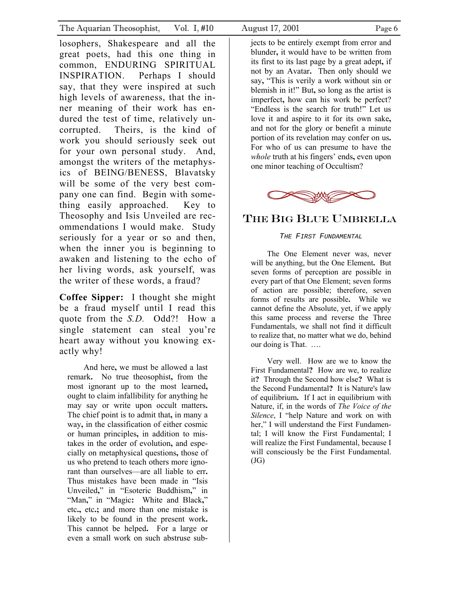losophers, Shakespeare and all the great poets, had this one thing in common, ENDURING SPIRITUAL INSPIRATION. Perhaps I should say, that they were inspired at such high levels of awareness, that the inner meaning of their work has endured the test of time, relatively uncorrupted. Theirs, is the kind of work you should seriously seek out for your own personal study. And, amongst the writers of the metaphysics of BEING/BENESS, Blavatsky will be some of the very best company one can find. Begin with something easily approached. Key to Theosophy and Isis Unveiled are recommendations I would make. Study seriously for a year or so and then, when the inner you is beginning to awaken and listening to the echo of her living words, ask yourself, was the writer of these words, a fraud?

**Coffee Sipper:** I thought she might be a fraud myself until I read this quote from the *S.D.* Odd?! How a single statement can steal you're heart away without you knowing exactly why!

And here**,** we must be allowed a last remark**.** No true theosophist**,** from the most ignorant up to the most learned**,** ought to claim infallibility for anything he may say or write upon occult matters**.**  The chief point is to admit that**,** in many a way**,** in the classification of either cosmic or human principles**,** in addition to mistakes in the order of evolution**,** and especially on metaphysical questions**,** those of us who pretend to teach others more ignorant than ourselves—are all liable to err**.**  Thus mistakes have been made in "Isis Unveiled**,**" in "Esoteric Buddhism**,**" in "Man**,**" in "Magic**:** White and Black**,**" etc**.,** etc**.;** and more than one mistake is likely to be found in the present work**.**  This cannot be helped**.** For a large or even a small work on such abstruse subjects to be entirely exempt from error and blunder**,** it would have to be written from its first to its last page by a great adept**,** if not by an Avatar**.** Then only should we say**,** "This is verily a work without sin or blemish in it!" But**,** so long as the artist is imperfect**,** how can his work be perfect? "Endless is the search for truth!" Let us love it and aspire to it for its own sake**,** and not for the glory or benefit a minute portion of its revelation may confer on us**.**  For who of us can presume to have the *whole* truth at his fingers' ends**,** even upon one minor teaching of Occultism?



## THE BIG BLUE UMBRELLA

#### THE FIRST FUNDAMENTAL

The One Element never was, never will be anything, but the One Element**.** But seven forms of perception are possible in every part of that One Element; seven forms of action are possible; therefore, seven forms of results are possible**.** While we cannot define the Absolute, yet, if we apply this same process and reverse the Three Fundamentals, we shall not find it difficult to realize that, no matter what we do, behind our doing is That. ….

Very well. How are we to know the First Fundamental**?** How are we, to realize it**?** Through the Second how else**?** What is the Second Fundamental**?** It is Nature's law of equilibrium**.** If I act in equilibrium with Nature, if, in the words of *The Voice of the Silence*, I "help Nature and work on with her," I will understand the First Fundamental; I will know the First Fundamental; I will realize the First Fundamental, because I will consciously be the First Fundamental.  $(JG)$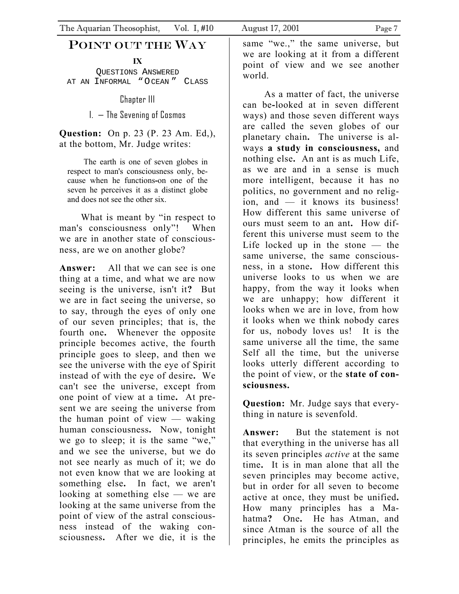## POINT OUT THE WAY

**IX** 

QUESTIONS ANSWERED AT AN INFORMAL "OCEAN " CLASS

Chapter III

I. — The Sevening of Cosmos

**Question:** On p. 23 (P. 23 Am. Ed,), at the bottom, Mr. Judge writes:

The earth is one of seven globes in respect to man's consciousness only, because when he functions**-**on one of the seven he perceives it as a distinct globe and does not see the other six.

 What is meant by "in respect to man's consciousness only"! When we are in another state of consciousness, are we on another globe?

**Answer:** All that we can see is one thing at a time, and what we are now seeing is the universe, isn't it**?** But we are in fact seeing the universe, so to say, through the eyes of only one of our seven principles; that is, the fourth one**.** Whenever the opposite principle becomes active, the fourth principle goes to sleep, and then we see the universe with the eye of Spirit instead of with the eye of desire**.** We can't see the universe, except from one point of view at a time**.** At present we are seeing the universe from the human point of view  $-$  waking human consciousness**.** Now, tonight we go to sleep; it is the same "we," and we see the universe, but we do not see nearly as much of it; we do not even know that we are looking at something else**.** In fact, we aren't looking at something else — we are looking at the same universe from the point of view of the astral consciousness instead of the waking consciousness**.** After we die, it is the

same "we.," the same universe, but we are looking at it from a different point of view and we see another world.

 As a matter of fact, the universe can be**-**looked at in seven different ways) and those seven different ways are called the seven globes of our planetary chain**.** The universe is always **a study in consciousness,** and nothing else**.** An ant is as much Life, as we are and in a sense is much more intelligent, because it has no politics, no government and no religion, and — it knows its business! How different this same universe of ours must seem to an ant**.** How different this universe must seem to the Life locked up in the stone — the same universe, the same consciousness, in a stone**.** How different this universe looks to us when we are happy, from the way it looks when we are unhappy; how different it looks when we are in love, from how it looks when we think nobody cares for us, nobody loves us! It is the same universe all the time, the same Self all the time, but the universe looks utterly different according to the point of view, or the **state of consciousness.**

**Question:** Mr. Judge says that everything in nature is sevenfold.

**Answer:** But the statement is not that everything in the universe has all its seven principles *active* at the same time**.** It is in man alone that all the seven principles may become active, but in order for all seven to become active at once, they must be unified**.**  How many principles has a Mahatma**?** One**.** He has Atman, and since Atman is the source of all the principles, he emits the principles as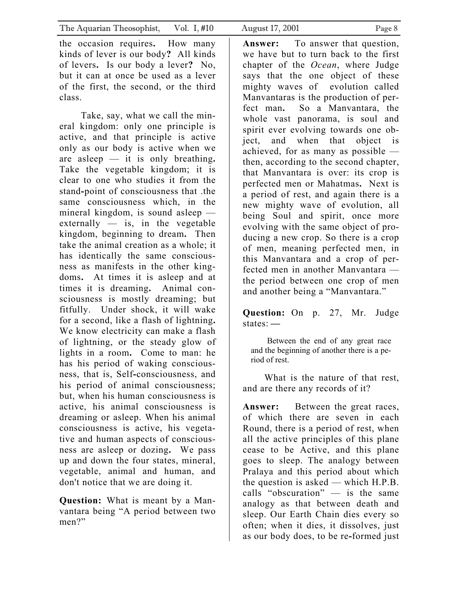the occasion requires**.** How many kinds of lever is our body**?** All kinds of levers**.** Is our body a lever**?** No, but it can at once be used as a lever of the first, the second, or the third class.

 Take, say, what we call the mineral kingdom: only one principle is active, and that principle is active only as our body is active when we are asleep — it is only breathing**.**  Take the vegetable kingdom; it is clear to one who studies it from the stand**-**point of consciousness that .the same consciousness which, in the mineral kingdom, is sound asleep externally  $-$  is, in the vegetable kingdom, beginning to dream**.** Then take the animal creation as a whole; it has identically the same consciousness as manifests in the other kingdoms**.** At times it is asleep and at times it is dreaming**.** Animal consciousness is mostly dreaming; but fitfully. Under shock, it will wake for a second, like a flash of lightning**.**  We know electricity can make a flash of lightning, or the steady glow of lights in a room**.** Come to man: he has his period of waking consciousness, that is, Self**-**consciousness, and his period of animal consciousness; but, when his human consciousness is active, his animal consciousness is dreaming or asleep. When his animal consciousness is active, his vegetative and human aspects of consciousness are asleep or dozing**.** We pass up and down the four states, mineral, vegetable, animal and human, and don't notice that we are doing it.

**Question:** What is meant by a Manvantara being "A period between two men?"

**Answer:** To answer that question, we have but to turn back to the first chapter of the *Ocean*, where Judge says that the one object of these mighty waves of evolution called Manvantaras is the production of perfect man**.** So a Manvantara, the whole vast panorama, is soul and spirit ever evolving towards one object, and when that object is achieved, for as many as possible then, according to the second chapter, that Manvantara is over: its crop is perfected men or Mahatmas**.** Next is a period of rest, and again there is a new mighty wave of evolution, all being Soul and spirit, once more evolving with the same object of producing a new crop. So there is a crop of men, meaning perfected men, in this Manvantara and a crop of perfected men in another Manvantara the period between one crop of men and another being a "Manvantara."

**Question:** On p. 27, Mr. Judge states: **—**

Between the end of any great race and the beginning of another there is a period of rest.

 What is the nature of that rest, and are there any records of it?

**Answer:** Between the great races, of which there are seven in each Round, there is a period of rest, when all the active principles of this plane cease to be Active, and this plane goes to sleep. The analogy between Pralaya and this period about which the question is asked — which H.P.B. calls "obscuration" — is the same analogy as that between death and sleep. Our Earth Chain dies every so often; when it dies, it dissolves, just as our body does, to be re**-**formed just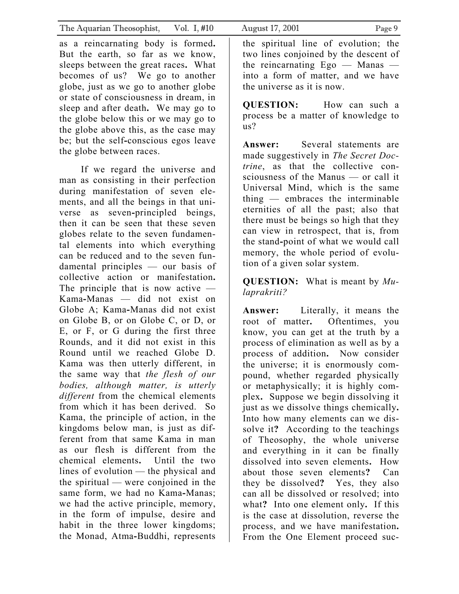| The Aquarian Theosophist, Vol. I, #10                                                                                                                                                                   | August 17, 2001<br>Page 9                                                     |
|---------------------------------------------------------------------------------------------------------------------------------------------------------------------------------------------------------|-------------------------------------------------------------------------------|
| as a reincarnating body is formed.                                                                                                                                                                      | the spiritual line of evolution; the                                          |
| But the earth, so far as we know,                                                                                                                                                                       | two lines conjoined by the descent of                                         |
| sleeps between the great races. What                                                                                                                                                                    | the reincarnating $Ego$ — Manas —                                             |
| becomes of us? We go to another                                                                                                                                                                         | into a form of matter, and we have                                            |
| globe, just as we go to another globe                                                                                                                                                                   | the universe as it is now.                                                    |
| or state of consciousness in dream, in<br>sleep and after death. We may go to<br>the globe below this or we may go to<br>the globe above this, as the case may<br>be; but the self-conscious egos leave | <b>QUESTION:</b> How can such a<br>process be a matter of knowledge to<br>us? |
| the globe between races.                                                                                                                                                                                | <b>Answer:</b> Several statements are                                         |
| If we regard the universe and                                                                                                                                                                           | made suggestively in The Secret Doc-                                          |
| man as consisting in their perfection                                                                                                                                                                   | <i>trine</i> , as that the collective con-                                    |
| during manifestation of seven ele-                                                                                                                                                                      | sciousness of the Manus — or call it                                          |
| ments, and all the beings in that uni-                                                                                                                                                                  | Universal Mind, which is the same                                             |
| verse as seven-principled beings,                                                                                                                                                                       | thing — embraces the interminable                                             |
| then it can be seen that these seven                                                                                                                                                                    | eternities of all the past; also that                                         |
| globes relate to the seven fundamen-                                                                                                                                                                    | there must be beings so high that they                                        |
| tal elements into which everything                                                                                                                                                                      | can view in retrospect, that is, from                                         |
| can be reduced and to the seven fun-                                                                                                                                                                    | the stand-point of what we would call                                         |
| damental principles - our basis of                                                                                                                                                                      | memory, the whole period of evolu-                                            |
| collective action or manifestation.                                                                                                                                                                     | tion of a given solar system.                                                 |
| The principle that is now active $-$                                                                                                                                                                    | <b>QUESTION:</b> What is meant by $Mu$ -                                      |
| Kama-Manas — did not exist on                                                                                                                                                                           | laprakriti?                                                                   |
| Globe A; Kama-Manas did not exist                                                                                                                                                                       | <b>Answer:</b> Literally, it means the                                        |
| on Globe B, or on Globe C, or D, or                                                                                                                                                                     | root of matter. Oftentimes, you                                               |
| E, or F, or G during the first three                                                                                                                                                                    | know, you can get at the truth by a                                           |
| Rounds, and it did not exist in this                                                                                                                                                                    | process of elimination as well as by a                                        |
| Round until we reached Globe D.                                                                                                                                                                         | process of addition. Now consider                                             |
| Kama was then utterly different, in                                                                                                                                                                     | the universe; it is enormously com-                                           |
| the same way that the flesh of our                                                                                                                                                                      | pound, whether regarded physically                                            |
| bodies, although matter, is utterly                                                                                                                                                                     | or metaphysically; it is highly com-                                          |
| <i>different</i> from the chemical elements                                                                                                                                                             | plex. Suppose we begin dissolving it                                          |
| from which it has been derived.                                                                                                                                                                         | just as we dissolve things chemically.                                        |
| S <sub>o</sub>                                                                                                                                                                                          | Into how many elements can we dis-                                            |
| Kama, the principle of action, in the                                                                                                                                                                   | solve it? According to the teachings                                          |
| kingdoms below man, is just as dif-                                                                                                                                                                     | of Theosophy, the whole universe                                              |
| ferent from that same Kama in man                                                                                                                                                                       | and everything in it can be finally                                           |
| as our flesh is different from the                                                                                                                                                                      | dissolved into seven elements. How                                            |
| chemical elements. Until the two                                                                                                                                                                        | about those seven elements?                                                   |
| lines of evolution — the physical and                                                                                                                                                                   | Can                                                                           |
| the spiritual — were conjoined in the                                                                                                                                                                   | they be dissolved? Yes, they also                                             |
| same form, we had no Kama-Manas;                                                                                                                                                                        | can all be dissolved or resolved; into                                        |
| we had the active principle, memory,                                                                                                                                                                    | what? Into one element only. If this                                          |
| in the form of impulse, desire and                                                                                                                                                                      | is the case at dissolution, reverse the                                       |
| habit in the three lower kingdoms;                                                                                                                                                                      | process, and we have manifestation.                                           |
| the Monad, Atma-Buddhi, represents                                                                                                                                                                      | From the One Element proceed suc-                                             |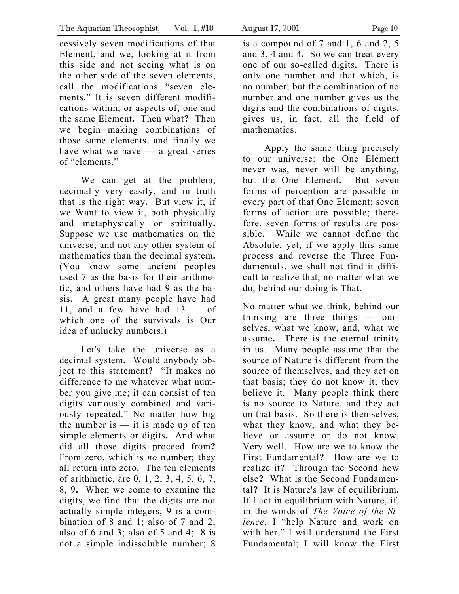cessively seven modifications of that Element, and we, looking at it from this side and not seeing what is on the other side of the seven elements, call the modifications "seven elements." It is seven different modifications within, or aspects of, one and the same Element**.** Then what**?** Then we begin making combinations of those same elements, and finally we have what we have  $-$  a great series of "elements."

 We can get at the problem, decimally very easily, and in truth that is the right way**.** But view it, if we Want to view it, both physically and metaphysically or spiritually**.**  Suppose we use mathematics on the universe, and not any other system of mathematics than the decimal system**.**  (You know some ancient peoples used 7 as the basis for their arithmetic, and others have had 9 as the basis**.** A great many people have had 11, and a few have had  $13 - of$ which one of the survivals is Our idea of unlucky numbers.)

 Let's take the universe as a decimal system**.** Would anybody object to this statement**?** "It makes no difference to me whatever what number you give me; it can consist of ten digits variously combined and variously repeated." No matter how big the number is  $-$  it is made up of ten simple elements or digits**.** And what did all those digits proceed from**?**  From zero, which is *no* number; they all return into zero**.** The ten elements of arithmetic, are 0, 1, 2, 3, 4, 5, 6, 7, 8, 9**.** When we come to examine the digits, we find that the digits are not actually simple integers; 9 is a combination of 8 and 1; also of 7 and 2; also of 6 and 3; also of 5 and 4;  $8$  is not a simple indissoluble number; 8

is a compound of 7 and 1, 6 and 2, 5 and 3, 4 and 4**.** So we can treat every one of our so**-**called digits**.** There is only one number and that which, is no number; but the combination of no number and one number gives us the digits and the combinations of digits, gives us, in fact, all the field of mathematics.

 Apply the same thing precisely to our universe: the One Element never was, never will be anything, but the One Element**.** But seven forms of perception are possible in every part of that One Element; seven forms of action are possible; therefore, seven forms of results are possible**.** While we cannot define the Absolute, yet, if we apply this same process and reverse the Three Fundamentals, we shall not find it difficult to realize that, no matter what we do, behind our doing is That.

No matter what we think, behind our thinking are three things — ourselves, what we know, and, what we assume**.** There is the eternal trinity in us. Many people assume that the source of Nature is different from the source of themselves, and they act on that basis; they do not know it; they believe it. Many people think there is no source to Nature, and they act on that basis. So there is themselves, what they know, and what they believe or assume or do not know. Very well. How are we to know the First Fundamental**?** How are we to realize it**?** Through the Second how else**?** What is the Second Fundamental**?** It is Nature's law of equilibrium**.**  If I act in equilibrium with Nature, if, in the words of *The Voice of the Silence*, I "help Nature and work on with her," I will understand the First Fundamental; I will know the First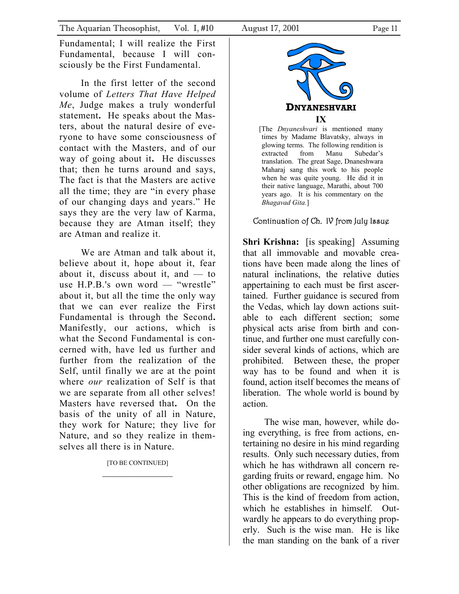Fundamental; I will realize the First Fundamental, because I will consciously be the First Fundamental.

In the first letter of the second volume of *Letters That Have Helped Me*, Judge makes a truly wonderful statement**.** He speaks about the Masters, about the natural desire of everyone to have some consciousness of contact with the Masters, and of our way of going about it**.** He discusses that; then he turns around and says, The fact is that the Masters are active all the time; they are "in every phase of our changing days and years." He says they are the very law of Karma, because they are Atman itself; they are Atman and realize it.

We are Atman and talk about it. believe about it, hope about it, fear about it, discuss about it, and  $-$  to use H.P.B.'s own word — "wrestle" about it, but all the time the only way that we can ever realize the First Fundamental is through the Second**.**  Manifestly, our actions, which is what the Second Fundamental is concerned with, have led us further and further from the realization of the Self, until finally we are at the point where *our* realization of Self is that we are separate from all other selves! Masters have reversed that**.** On the basis of the unity of all in Nature, they work for Nature; they live for Nature, and so they realize in themselves all there is in Nature.

[TO BE CONTINUED]



[The *Dnyaneshvari* is mentioned many times by Madame Blavatsky, always in glowing terms. The following rendition is extracted from Manu Subedar's translation. The great Sage, Dnaneshwara Maharaj sang this work to his people when he was quite young. He did it in their native language, Marathi, about 700 years ago. It is his commentary on the *Bhagavad Gita.*]

## Continuation of Ch. IV from July Issue

**Shri Krishna:** [is speaking] Assuming that all immovable and movable creations have been made along the lines of natural inclinations, the relative duties appertaining to each must be first ascertained. Further guidance is secured from the Vedas, which lay down actions suitable to each different section; some physical acts arise from birth and continue, and further one must carefully consider several kinds of actions, which are prohibited. Between these, the proper way has to be found and when it is found, action itself becomes the means of liberation. The whole world is bound by action.

The wise man, however, while doing everything, is free from actions, entertaining no desire in his mind regarding results. Only such necessary duties, from which he has withdrawn all concern regarding fruits or reward, engage him. No other obligations are recognized by him. This is the kind of freedom from action, which he establishes in himself. Outwardly he appears to do everything properly. Such is the wise man. He is like the man standing on the bank of a river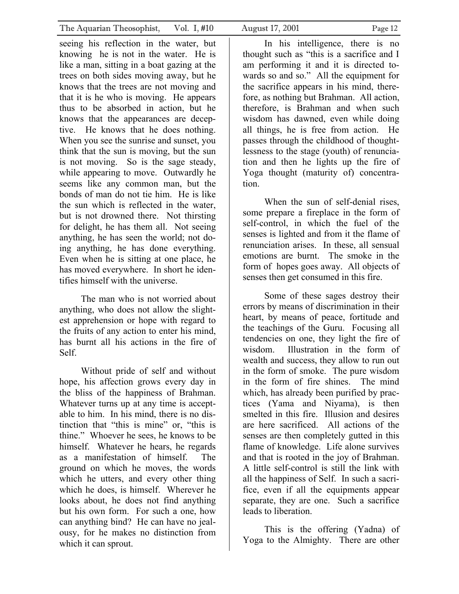seeing his reflection in the water, but knowing he is not in the water. He is like a man, sitting in a boat gazing at the trees on both sides moving away, but he knows that the trees are not moving and that it is he who is moving. He appears thus to be absorbed in action, but he knows that the appearances are deceptive. He knows that he does nothing. When you see the sunrise and sunset, you think that the sun is moving, but the sun is not moving. So is the sage steady, while appearing to move. Outwardly he seems like any common man, but the bonds of man do not tie him. He is like the sun which is reflected in the water, but is not drowned there. Not thirsting for delight, he has them all. Not seeing anything, he has seen the world; not doing anything, he has done everything. Even when he is sitting at one place, he has moved everywhere. In short he identifies himself with the universe.

 The man who is not worried about anything, who does not allow the slightest apprehension or hope with regard to the fruits of any action to enter his mind, has burnt all his actions in the fire of Self.

 Without pride of self and without hope, his affection grows every day in the bliss of the happiness of Brahman. Whatever turns up at any time is acceptable to him. In his mind, there is no distinction that "this is mine" or, "this is thine." Whoever he sees, he knows to be himself. Whatever he hears, he regards as a manifestation of himself. The ground on which he moves, the words which he utters, and every other thing which he does, is himself. Wherever he looks about, he does not find anything but his own form. For such a one, how can anything bind? He can have no jealousy, for he makes no distinction from which it can sprout.

 In his intelligence, there is no thought such as "this is a sacrifice and I am performing it and it is directed towards so and so." All the equipment for the sacrifice appears in his mind, therefore, as nothing but Brahman. All action, therefore, is Brahman and when such wisdom has dawned, even while doing all things, he is free from action. He passes through the childhood of thoughtlessness to the stage (youth) of renunciation and then he lights up the fire of Yoga thought (maturity of) concentration.

 When the sun of self-denial rises, some prepare a fireplace in the form of self-control, in which the fuel of the senses is lighted and from it the flame of renunciation arises. In these, all sensual emotions are burnt. The smoke in the form of hopes goes away. All objects of senses then get consumed in this fire.

 Some of these sages destroy their errors by means of discrimination in their heart, by means of peace, fortitude and the teachings of the Guru. Focusing all tendencies on one, they light the fire of wisdom. Illustration in the form of wealth and success, they allow to run out in the form of smoke. The pure wisdom in the form of fire shines. The mind which, has already been purified by practices (Yama and Niyama), is then smelted in this fire. Illusion and desires are here sacrificed. All actions of the senses are then completely gutted in this flame of knowledge. Life alone survives and that is rooted in the joy of Brahman. A little self-control is still the link with all the happiness of Self. In such a sacrifice, even if all the equipments appear separate, they are one. Such a sacrifice leads to liberation.

 This is the offering (Yadna) of Yoga to the Almighty. There are other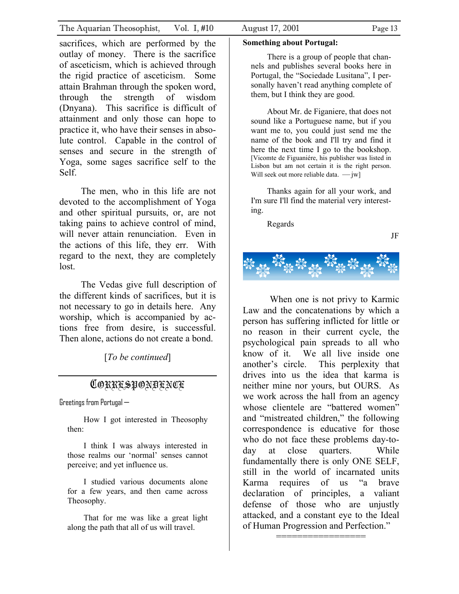sacrifices, which are performed by the outlay of money. There is the sacrifice of asceticism, which is achieved through the rigid practice of asceticism. Some attain Brahman through the spoken word, through the strength of wisdom (Dnyana). This sacrifice is difficult of attainment and only those can hope to practice it, who have their senses in absolute control. Capable in the control of senses and secure in the strength of Yoga, some sages sacrifice self to the Self.

The men, who in this life are not devoted to the accomplishment of Yoga and other spiritual pursuits, or, are not taking pains to achieve control of mind, will never attain renunciation. Even in the actions of this life, they err. With regard to the next, they are completely lost.

The Vedas give full description of the different kinds of sacrifices, but it is not necessary to go in details here. Any worship, which is accompanied by actions free from desire, is successful. Then alone, actions do not create a bond.

[*To be continued*]

## CORRESPONDENCE

Greetings from Portugal—

How I got interested in Theosophy then:

I think I was always interested in those realms our 'normal' senses cannot perceive; and yet influence us.

I studied various documents alone for a few years, and then came across Theosophy.

That for me was like a great light along the path that all of us will travel.

#### **Something about Portugal:**

There is a group of people that channels and publishes several books here in Portugal, the "Sociedade Lusitana", I personally haven't read anything complete of them, but I think they are good.

About Mr. de Figaniere, that does not sound like a Portuguese name, but if you want me to, you could just send me the name of the book and I'll try and find it here the next time I go to the bookshop. [Vicomte de Figuaniére, his publisher was listed in Lisbon but am not certain it is the right person. Will seek out more reliable data.  $\longrightarrow$  jw]

Thanks again for all your work, and I'm sure I'll find the material very interesting.

Regards

JF



When one is not privy to Karmic Law and the concatenations by which a person has suffering inflicted for little or no reason in their current cycle, the psychological pain spreads to all who know of it. We all live inside one another's circle. This perplexity that drives into us the idea that karma is neither mine nor yours, but OURS. As we work across the hall from an agency whose clientele are "battered women" and "mistreated children," the following correspondence is educative for those who do not face these problems day-today at close quarters. While fundamentally there is only ONE SELF, still in the world of incarnated units Karma requires of us "a brave declaration of principles, a valiant defense of those who are unjustly attacked, and a constant eye to the Ideal of Human Progression and Perfection."

=================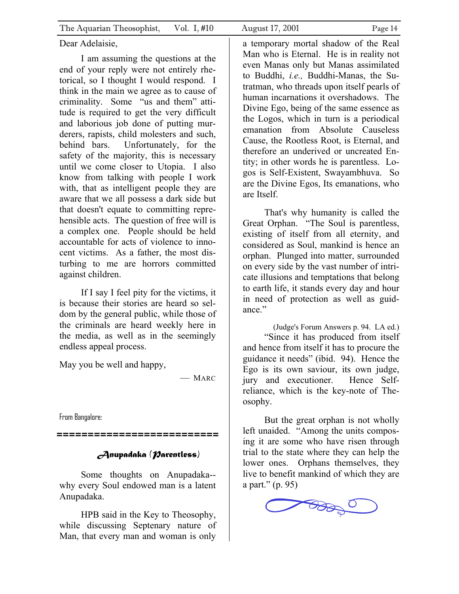#### Dear Adelaisie,

I am assuming the questions at the end of your reply were not entirely rhetorical, so I thought I would respond. I think in the main we agree as to cause of criminality. Some "us and them" attitude is required to get the very difficult and laborious job done of putting murderers, rapists, child molesters and such, behind bars. Unfortunately, for the safety of the majority, this is necessary until we come closer to Utopia. I also know from talking with people I work with, that as intelligent people they are aware that we all possess a dark side but that doesn't equate to committing reprehensible acts. The question of free will is a complex one. People should be held accountable for acts of violence to innocent victims. As a father, the most disturbing to me are horrors committed against children.

If I say I feel pity for the victims, it is because their stories are heard so seldom by the general public, while those of the criminals are heard weekly here in the media, as well as in the seemingly endless appeal process.

May you be well and happy,

— MARC

From Bangalore:

*==========================* 

## *Anupadaka (Parentless)*

Some thoughts on Anupadaka- why every Soul endowed man is a latent Anupadaka.

HPB said in the Key to Theosophy, while discussing Septenary nature of Man, that every man and woman is only a temporary mortal shadow of the Real Man who is Eternal. He is in reality not even Manas only but Manas assimilated to Buddhi, *i.e.,* Buddhi-Manas, the Sutratman, who threads upon itself pearls of human incarnations it overshadows. The Divine Ego, being of the same essence as the Logos, which in turn is a periodical emanation from Absolute Causeless Cause, the Rootless Root, is Eternal, and therefore an underived or uncreated Entity; in other words he is parentless. Logos is Self-Existent, Swayambhuva. So are the Divine Egos, Its emanations, who are Itself.

That's why humanity is called the Great Orphan. "The Soul is parentless, existing of itself from all eternity, and considered as Soul, mankind is hence an orphan. Plunged into matter, surrounded on every side by the vast number of intricate illusions and temptations that belong to earth life, it stands every day and hour in need of protection as well as guidance."

(Judge's Forum Answers p. 94. LA ed.) "Since it has produced from itself and hence from itself it has to procure the guidance it needs" (ibid. 94). Hence the Ego is its own saviour, its own judge, jury and executioner. Hence Selfreliance, which is the key-note of Theosophy.

But the great orphan is not wholly left unaided. "Among the units composing it are some who have risen through trial to the state where they can help the lower ones. Orphans themselves, they live to benefit mankind of which they are a part." (p. 95)

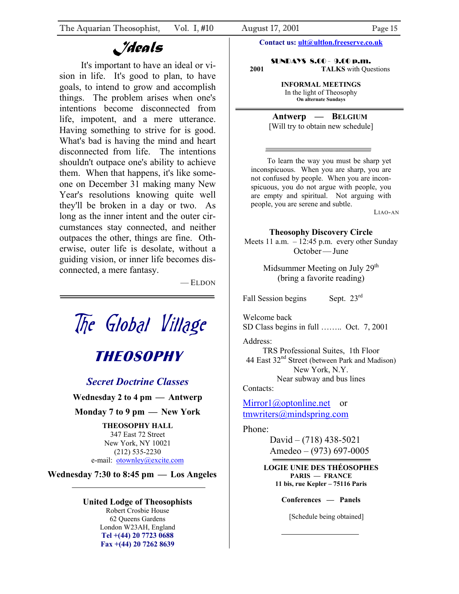## *Ideals*

It's important to have an ideal or vision in life. It's good to plan, to have goals, to intend to grow and accomplish things. The problem arises when one's intentions become disconnected from life, impotent, and a mere utterance. Having something to strive for is good. What's bad is having the mind and heart disconnected from life. The intentions shouldn't outpace one's ability to achieve them. When that happens, it's like someone on December 31 making many New Year's resolutions knowing quite well they'll be broken in a day or two. As long as the inner intent and the outer circumstances stay connected, and neither outpaces the other, things are fine. Otherwise, outer life is desolate, without a guiding vision, or inner life becomes disconnected, a mere fantasy.

— ELDON



347 East 72 Street New York, NY 10021 (212) 535-2230 e-mail: [otownley@excite.com](mailto:otownley@excite.com)

**Wednesday 7:30 to 8:45 pm — Los Angeles** 

#### **United Lodge of Theosophists**

Robert Crosbie House 62 Queens Gardens London W23AH, England **Tel +(44) 20 7723 0688 Fax +(44) 20 7262 8639**

**Contact us: [ult@ultlon.freeserve.co.uk](mailto:ult@ultlon.freeserve.co.uk)**

SUNDAYS 8.00 - 9.00 p.m. **2001 TALKS** with Questions

> **INFORMAL MEETINGS** In the light of Theosophy **On alternate Sundays**

**Antwerp — BELGIUM**  [Will try to obtain new schedule]

To learn the way you must be sharp yet inconspicuous. When you are sharp, you are not confused by people. When you are inconspicuous, you do not argue with people, you are empty and spiritual. Not arguing with people, you are serene and subtle.

LIAO-AN

#### **Theosophy Discovery Circle**

Meets 11 a.m.  $-12:45$  p.m. every other Sunday October—June

> Midsummer Meeting on July 29<sup>th</sup> (bring a favorite reading)

Fall Session begins Sept.  $23<sup>rd</sup>$ 

Welcome back SD Class begins in full …….. Oct. 7, 2001

Address:

TRS Professional Suites, 1th Floor 44 East  $32<sup>nd</sup>$  Street (between Park and Madison) New York, N.Y. Near subway and bus lines

Contacts:

[Mirror1@optonline.net](mailto:Mirror1@optonline.net) or [tmwriters@mindspring.com](mailto:tmwriters@mindspring.com)

#### Phone:

David – (718) 438-5021 Amedeo – (973) 697-0005

**LOGIE UNIE DES THÉOSOPHES PARIS — FRANCE 11 bis, rue Kepler – 75116 Paris** 

**Conferences — Panels** 

[Schedule being obtained]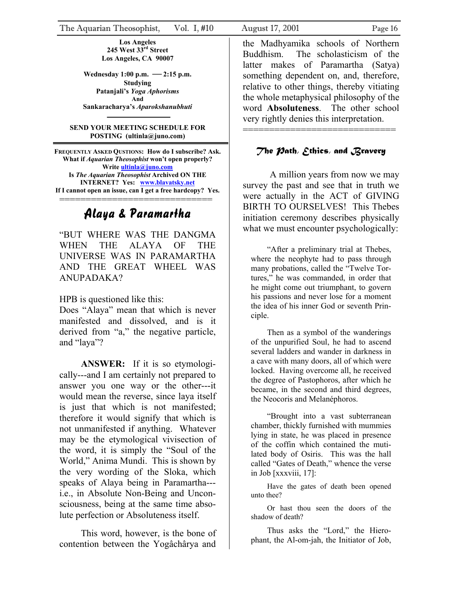**Los Angeles 245 West 33rd Street Los Angeles, CA 90007** 

**Wednesday 1:00 p.m. —2:15 p.m. Studying Patanjali's** *Yoga Aphorisms* **And Sankaracharya's** *Aparokshanubhuti* 

#### **SEND YOUR MEETING SCHEDULE FOR POSTING (ultinla@juno.com)**

**FREQUENTLY ASKED QUSTIONS: How do I subscribe? Ask. What if** *Aquarian Theosophist* **won't open properly? Write [ultinla@juno.com](mailto:ultinla@juno.com) Is** *The Aquarian Theosophist* **Archived ON THE INTERNET? Yes: [www.blavatsky.net](http://www.blavatsky.net/) If I cannot open an issue, can I get a free hardcopy? Yes.** =============================

## Alaya & Paramartha

"BUT WHERE WAS THE DANGMA WHEN THE ALAYA OF THE UNIVERSE WAS IN PARAMARTHA AND THE GREAT WHEEL WAS ANUPADAKA?

HPB is questioned like this:

Does "Alaya" mean that which is never manifested and dissolved, and is it derived from "a," the negative particle, and "laya"?

**ANSWER:** If it is so etymologically---and I am certainly not prepared to answer you one way or the other---it would mean the reverse, since laya itself is just that which is not manifested; therefore it would signify that which is not unmanifested if anything. Whatever may be the etymological vivisection of the word, it is simply the "Soul of the World," Anima Mundi. This is shown by the very wording of the Sloka, which speaks of Alaya being in Paramartha-- i.e., in Absolute Non-Being and Unconsciousness, being at the same time absolute perfection or Absoluteness itself.

This word, however, is the bone of contention between the Yogâchârya and the Madhyamika schools of Northern Buddhism. The scholasticism of the latter makes of Paramartha (Satya) something dependent on, and, therefore, relative to other things, thereby vitiating the whole metaphysical philosophy of the word **Absoluteness**. The other school very rightly denies this interpretation.

## *The Path, Ethics, and Bravery*

=============================

A million years from now we may survey the past and see that in truth we were actually in the ACT of GIVING BIRTH TO OURSELVES! This Thebes initiation ceremony describes physically what we must encounter psychologically:

"After a preliminary trial at Thebes, where the neophyte had to pass through many probations, called the "Twelve Tortures," he was commanded, in order that he might come out triumphant, to govern his passions and never lose for a moment the idea of his inner God or seventh Principle.

Then as a symbol of the wanderings of the unpurified Soul, he had to ascend several ladders and wander in darkness in a cave with many doors, all of which were locked. Having overcome all, he received the degree of Pastophoros, after which he became, in the second and third degrees, the Neocoris and Melanéphoros.

"Brought into a vast subterranean chamber, thickly furnished with mummies lying in state, he was placed in presence of the coffin which contained the mutilated body of Osiris. This was the hall called "Gates of Death," whence the verse in Job [xxxviii, 17]:

Have the gates of death been opened unto thee?

Or hast thou seen the doors of the shadow of death?

Thus asks the "Lord," the Hierophant, the Al-om-jah, the Initiator of Job,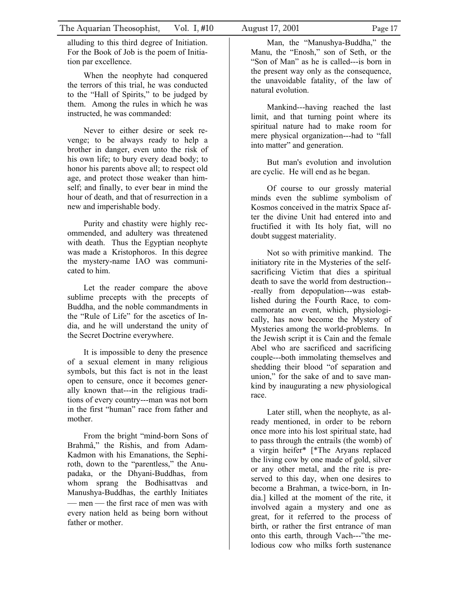alluding to this third degree of Initiation. For the Book of Job is the poem of Initiation par excellence.

When the neophyte had conquered the terrors of this trial, he was conducted to the "Hall of Spirits," to be judged by them. Among the rules in which he was instructed, he was commanded:

Never to either desire or seek revenge; to be always ready to help a brother in danger, even unto the risk of his own life; to bury every dead body; to honor his parents above all; to respect old age, and protect those weaker than himself; and finally, to ever bear in mind the hour of death, and that of resurrection in a new and imperishable body.

Purity and chastity were highly recommended, and adultery was threatened with death. Thus the Egyptian neophyte was made a Kristophoros. In this degree the mystery-name IAO was communicated to him.

Let the reader compare the above sublime precepts with the precepts of Buddha, and the noble commandments in the "Rule of Life" for the ascetics of India, and he will understand the unity of the Secret Doctrine everywhere.

It is impossible to deny the presence of a sexual element in many religious symbols, but this fact is not in the least open to censure, once it becomes generally known that---in the religious traditions of every country---man was not born in the first "human" race from father and mother.

From the bright "mind-born Sons of Brahmâ," the Rishis, and from Adam-Kadmon with his Emanations, the Sephiroth, down to the "parentless," the Anupadaka, or the Dhyani-Buddhas, from whom sprang the Bodhisattvas and Manushya-Buddhas, the earthly Initiates — men — the first race of men was with every nation held as being born without father or mother.

Man, the "Manushya-Buddha," the Manu, the "Enosh," son of Seth, or the "Son of Man" as he is called---is born in the present way only as the consequence, the unavoidable fatality, of the law of natural evolution.

Mankind---having reached the last limit, and that turning point where its spiritual nature had to make room for mere physical organization---had to "fall into matter" and generation.

But man's evolution and involution are cyclic. He will end as he began.

Of course to our grossly material minds even the sublime symbolism of Kosmos conceived in the matrix Space after the divine Unit had entered into and fructified it with Its holy fiat, will no doubt suggest materiality.

Not so with primitive mankind. The initiatory rite in the Mysteries of the selfsacrificing Victim that dies a spiritual death to save the world from destruction-- -really from depopulation---was established during the Fourth Race, to commemorate an event, which, physiologically, has now become the Mystery of Mysteries among the world-problems. In the Jewish script it is Cain and the female Abel who are sacrificed and sacrificing couple---both immolating themselves and shedding their blood "of separation and union," for the sake of and to save mankind by inaugurating a new physiological race.

Later still, when the neophyte, as already mentioned, in order to be reborn once more into his lost spiritual state, had to pass through the entrails (the womb) of a virgin heifer\* [\*The Aryans replaced the living cow by one made of gold, silver or any other metal, and the rite is preserved to this day, when one desires to become a Brahman, a twice-born, in India.] killed at the moment of the rite, it involved again a mystery and one as great, for it referred to the process of birth, or rather the first entrance of man onto this earth, through Vach---"the melodious cow who milks forth sustenance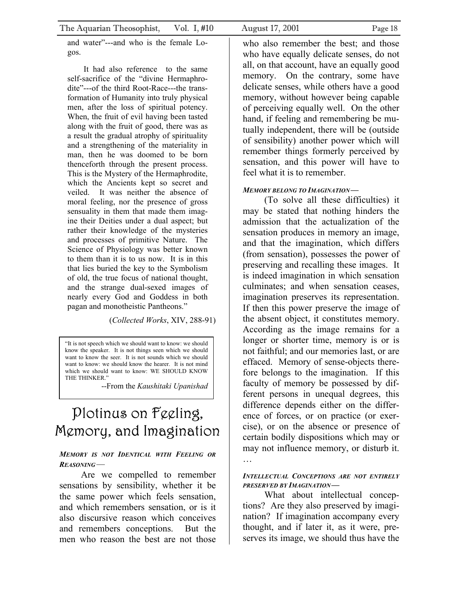and water"---and who is the female Logos.

It had also reference to the same self-sacrifice of the "divine Hermaphrodite"---of the third Root-Race---the transformation of Humanity into truly physical men, after the loss of spiritual potency. When, the fruit of evil having been tasted along with the fruit of good, there was as a result the gradual atrophy of spirituality and a strengthening of the materiality in man, then he was doomed to be born thenceforth through the present process. This is the Mystery of the Hermaphrodite, which the Ancients kept so secret and veiled. It was neither the absence of moral feeling, nor the presence of gross sensuality in them that made them imagine their Deities under a dual aspect; but rather their knowledge of the mysteries and processes of primitive Nature. The Science of Physiology was better known to them than it is to us now. It is in this that lies buried the key to the Symbolism of old, the true focus of national thought, and the strange dual-sexed images of nearly every God and Goddess in both pagan and monotheistic Pantheons."

(*Collected Works*, XIV, 288-91)

"It is not speech which we should want to know: we should know the speaker. It is not things seen which we should want to know the seer. It is not sounds which we should want to know: we should know the hearer. It is not mind which we should want to know: WE SHOULD KNOW THE THINKER.'

--From the *Kaushitaki Upanishad*

# Plotinus on Feeling, Memory, and Imagination

#### *MEMORY IS NOT IDENTICAL WITH FEELING OR REASONING—*

Are we compelled to remember sensations by sensibility, whether it be the same power which feels sensation, and which remembers sensation, or is it also discursive reason which conceives and remembers conceptions. But the men who reason the best are not those

who also remember the best; and those who have equally delicate senses, do not all, on that account, have an equally good memory. On the contrary, some have delicate senses, while others have a good memory, without however being capable of perceiving equally well. On the other hand, if feeling and remembering be mutually independent, there will be (outside of sensibility) another power which will remember things formerly perceived by sensation, and this power will have to feel what it is to remember.

#### *MEMORY BELONG TO IMAGINATION—*

(To solve all these difficulties) it may be stated that nothing hinders the admission that the actualization of the sensation produces in memory an image, and that the imagination, which differs (from sensation), possesses the power of preserving and recalling these images. It is indeed imagination in which sensation culminates; and when sensation ceases, imagination preserves its representation. If then this power preserve the image of the absent object, it constitutes memory. According as the image remains for a longer or shorter time, memory is or is not faithful; and our memories last, or are effaced. Memory of sense-objects therefore belongs to the imagination. If this faculty of memory be possessed by different persons in unequal degrees, this difference depends either on the difference of forces, or on practice (or exercise), or on the absence or presence of certain bodily dispositions which may or may not influence memory, or disturb it. …

#### *INTELLECTUAL CONCEPTIONS ARE NOT ENTIRELY PRESERVED BY IMAGINATION—*

What about intellectual conceptions? Are they also preserved by imagination? If imagination accompany every thought, and if later it, as it were, preserves its image, we should thus have the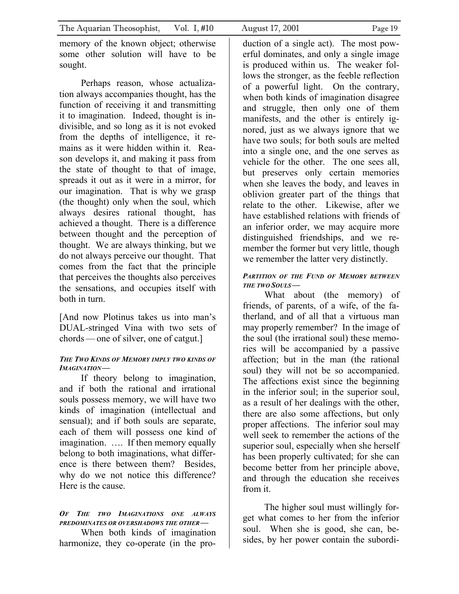memory of the known object; otherwise some other solution will have to be sought.

Perhaps reason, whose actualization always accompanies thought, has the function of receiving it and transmitting it to imagination. Indeed, thought is indivisible, and so long as it is not evoked from the depths of intelligence, it remains as it were hidden within it. Reason develops it, and making it pass from the state of thought to that of image, spreads it out as it were in a mirror, for our imagination. That is why we grasp (the thought) only when the soul, which always desires rational thought, has achieved a thought. There is a difference between thought and the perception of thought. We are always thinking, but we do not always perceive our thought. That comes from the fact that the principle that perceives the thoughts also perceives the sensations, and occupies itself with both in turn.

[And now Plotinus takes us into man's DUAL-stringed Vina with two sets of chords—one of silver, one of catgut.]

#### *THE TWO KINDS OF MEMORY IMPLY TWO KINDS OF IMAGINATION—*

If theory belong to imagination, and if both the rational and irrational souls possess memory, we will have two kinds of imagination (intellectual and sensual); and if both souls are separate, each of them will possess one kind of imagination. …. If then memory equally belong to both imaginations, what difference is there between them? Besides, why do we not notice this difference? Here is the cause.

### *OF THE TWO IMAGINATIONS ONE ALWAYS PREDOMINATES OR OVERSHADOWS THE OTHER—*

When both kinds of imagination harmonize, they co-operate (in the pro-

duction of a single act). The most powerful dominates, and only a single image is produced within us. The weaker follows the stronger, as the feeble reflection of a powerful light. On the contrary, when both kinds of imagination disagree and struggle, then only one of them manifests, and the other is entirely ignored, just as we always ignore that we have two souls; for both souls are melted into a single one, and the one serves as vehicle for the other. The one sees all, but preserves only certain memories when she leaves the body, and leaves in oblivion greater part of the things that relate to the other. Likewise, after we have established relations with friends of an inferior order, we may acquire more distinguished friendships, and we remember the former but very little, though we remember the latter very distinctly.

#### *PARTITION OF THE FUND OF MEMORY BETWEEN THE TWO SOULS—*

What about (the memory) of friends, of parents, of a wife, of the fatherland, and of all that a virtuous man may properly remember? In the image of the soul (the irrational soul) these memories will be accompanied by a passive affection; but in the man (the rational soul) they will not be so accompanied. The affections exist since the beginning in the inferior soul; in the superior soul, as a result of her dealings with the other, there are also some affections, but only proper affections. The inferior soul may well seek to remember the actions of the superior soul, especially when she herself has been properly cultivated; for she can become better from her principle above, and through the education she receives from it.

The higher soul must willingly forget what comes to her from the inferior soul. When she is good, she can, besides, by her power contain the subordi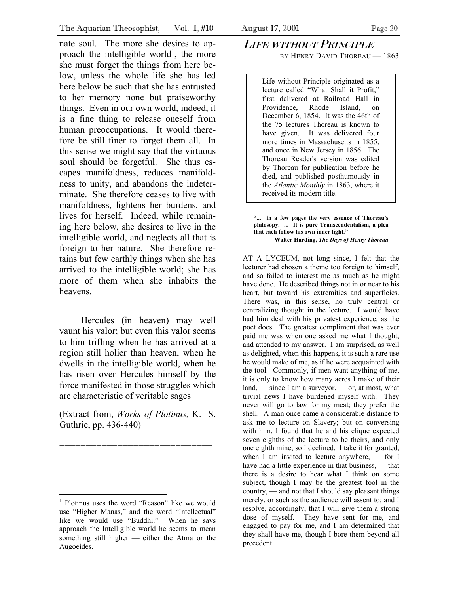nate soul. The more she desires to ap-proach the intelligible world<sup>[1](#page-19-0)</sup>, the more she must forget the things from here below, unless the whole life she has led here below be such that she has entrusted to her memory none but praiseworthy things. Even in our own world, indeed, it is a fine thing to release oneself from human preoccupations. It would therefore be still finer to forget them all. In this sense we might say that the virtuous soul should be forgetful. She thus escapes manifoldness, reduces manifoldness to unity, and abandons the indeterminate. She therefore ceases to live with manifoldness, lightens her burdens, and lives for herself. Indeed, while remaining here below, she desires to live in the intelligible world, and neglects all that is foreign to her nature. She therefore retains but few earthly things when she has arrived to the intelligible world; she has more of them when she inhabits the heavens.

Hercules (in heaven) may well vaunt his valor; but even this valor seems to him trifling when he has arrived at a region still holier than heaven, when he dwells in the intelligible world, when he has risen over Hercules himself by the force manifested in those struggles which are characteristic of veritable sages

(Extract from, *Works of Plotinus,* K. S. Guthrie, pp. 436-440)

=============================

#### LIFE WITHOUT PRINCIPLE BY HENRY DAVID THOREAU - 1863

Life without Principle originated as a lecture called "What Shall it Profit," first delivered at Railroad Hall in Providence, Rhode Island, on December 6, 1854. It was the 46th of the 75 lectures Thoreau is known to have given. It was delivered four more times in Massachusetts in 1855, and once in New Jersey in 1856. The Thoreau Reader's version was edited by Thoreau for publication before he died, and published posthumously in the *Atlantic Monthly* in 1863, where it received its modern title.

**"... in a few pages the very essence of Thoreau's philosopy. ... It is pure Transcendentalism, a plea that each follow his own inner light." — Walter Harding,** *The Days of Henry Thoreau* 

AT A LYCEUM, not long since, I felt that the lecturer had chosen a theme too foreign to himself, and so failed to interest me as much as he might have done. He described things not in or near to his heart, but toward his extremities and superficies. There was, in this sense, no truly central or centralizing thought in the lecture. I would have had him deal with his privatest experience, as the poet does. The greatest compliment that was ever paid me was when one asked me what I thought, and attended to my answer. I am surprised, as well as delighted, when this happens, it is such a rare use he would make of me, as if he were acquainted with the tool. Commonly, if men want anything of me, it is only to know how many acres I make of their land, — since I am a surveyor, — or, at most, what trivial news I have burdened myself with. They never will go to law for my meat; they prefer the shell. A man once came a considerable distance to ask me to lecture on Slavery; but on conversing with him, I found that he and his clique expected seven eighths of the lecture to be theirs, and only one eighth mine; so I declined. I take it for granted, when I am invited to lecture anywhere, — for I have had a little experience in that business, — that there is a desire to hear what I think on some subject, though I may be the greatest fool in the country, — and not that I should say pleasant things merely, or such as the audience will assent to; and I resolve, accordingly, that I will give them a strong dose of myself. They have sent for me, and engaged to pay for me, and I am determined that they shall have me, though I bore them beyond all precedent.

<span id="page-19-0"></span><sup>1</sup> Plotinus uses the word "Reason" like we would use "Higher Manas," and the word "Intellectual" like we would use "Buddhi." When he says approach the Intelligible world he seems to mean something still higher — either the Atma or the Augoeides.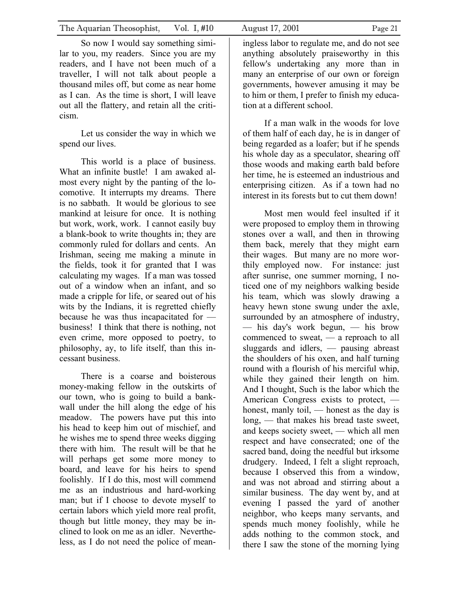So now I would say something similar to you, my readers. Since you are my readers, and I have not been much of a traveller, I will not talk about people a thousand miles off, but come as near home as I can. As the time is short, I will leave out all the flattery, and retain all the criticism.

Let us consider the way in which we spend our lives.

This world is a place of business. What an infinite bustle! I am awaked almost every night by the panting of the locomotive. It interrupts my dreams. There is no sabbath. It would be glorious to see mankind at leisure for once. It is nothing but work, work, work. I cannot easily buy a blank-book to write thoughts in; they are commonly ruled for dollars and cents. An Irishman, seeing me making a minute in the fields, took it for granted that I was calculating my wages. If a man was tossed out of a window when an infant, and so made a cripple for life, or seared out of his wits by the Indians, it is regretted chiefly because he was thus incapacitated for business! I think that there is nothing, not even crime, more opposed to poetry, to philosophy, ay, to life itself, than this incessant business.

There is a coarse and boisterous money-making fellow in the outskirts of our town, who is going to build a bankwall under the hill along the edge of his meadow. The powers have put this into his head to keep him out of mischief, and he wishes me to spend three weeks digging there with him. The result will be that he will perhaps get some more money to board, and leave for his heirs to spend foolishly. If I do this, most will commend me as an industrious and hard-working man; but if I choose to devote myself to certain labors which yield more real profit, though but little money, they may be inclined to look on me as an idler. Nevertheless, as I do not need the police of meaningless labor to regulate me, and do not see anything absolutely praiseworthy in this fellow's undertaking any more than in many an enterprise of our own or foreign governments, however amusing it may be to him or them, I prefer to finish my education at a different school.

If a man walk in the woods for love of them half of each day, he is in danger of being regarded as a loafer; but if he spends his whole day as a speculator, shearing off those woods and making earth bald before her time, he is esteemed an industrious and enterprising citizen. As if a town had no interest in its forests but to cut them down!

Most men would feel insulted if it were proposed to employ them in throwing stones over a wall, and then in throwing them back, merely that they might earn their wages. But many are no more worthily employed now. For instance: just after sunrise, one summer morning, I noticed one of my neighbors walking beside his team, which was slowly drawing a heavy hewn stone swung under the axle, surrounded by an atmosphere of industry, — his day's work begun, — his brow commenced to sweat, — a reproach to all sluggards and idlers, — pausing abreast the shoulders of his oxen, and half turning round with a flourish of his merciful whip, while they gained their length on him. And I thought, Such is the labor which the American Congress exists to protect, honest, manly toil, — honest as the day is long, — that makes his bread taste sweet, and keeps society sweet, — which all men respect and have consecrated; one of the sacred band, doing the needful but irksome drudgery. Indeed, I felt a slight reproach, because I observed this from a window, and was not abroad and stirring about a similar business. The day went by, and at evening I passed the yard of another neighbor, who keeps many servants, and spends much money foolishly, while he adds nothing to the common stock, and there I saw the stone of the morning lying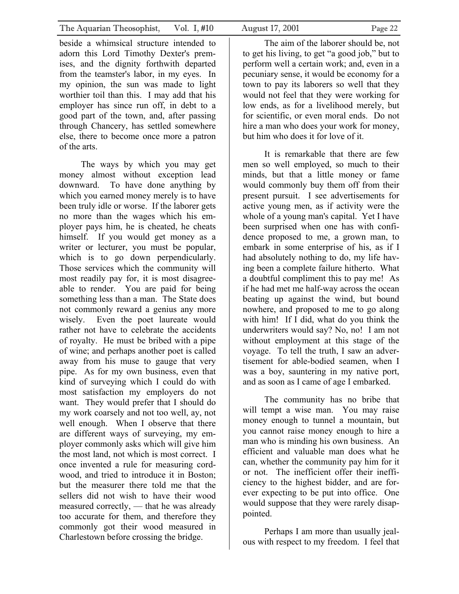beside a whimsical structure intended to adorn this Lord Timothy Dexter's premises, and the dignity forthwith departed from the teamster's labor, in my eyes. In my opinion, the sun was made to light worthier toil than this. I may add that his employer has since run off, in debt to a good part of the town, and, after passing through Chancery, has settled somewhere else, there to become once more a patron of the arts.

The ways by which you may get money almost without exception lead downward. To have done anything by which you earned money merely is to have been truly idle or worse. If the laborer gets no more than the wages which his employer pays him, he is cheated, he cheats himself. If you would get money as a writer or lecturer, you must be popular, which is to go down perpendicularly. Those services which the community will most readily pay for, it is most disagreeable to render. You are paid for being something less than a man. The State does not commonly reward a genius any more wisely. Even the poet laureate would rather not have to celebrate the accidents of royalty. He must be bribed with a pipe of wine; and perhaps another poet is called away from his muse to gauge that very pipe. As for my own business, even that kind of surveying which I could do with most satisfaction my employers do not want. They would prefer that I should do my work coarsely and not too well, ay, not well enough. When I observe that there are different ways of surveying, my employer commonly asks which will give him the most land, not which is most correct. I once invented a rule for measuring cordwood, and tried to introduce it in Boston; but the measurer there told me that the sellers did not wish to have their wood measured correctly, — that he was already too accurate for them, and therefore they commonly got their wood measured in Charlestown before crossing the bridge.

The aim of the laborer should be, not to get his living, to get "a good job," but to perform well a certain work; and, even in a pecuniary sense, it would be economy for a town to pay its laborers so well that they would not feel that they were working for low ends, as for a livelihood merely, but for scientific, or even moral ends. Do not hire a man who does your work for money, but him who does it for love of it.

It is remarkable that there are few men so well employed, so much to their minds, but that a little money or fame would commonly buy them off from their present pursuit. I see advertisements for active young men, as if activity were the whole of a young man's capital. Yet I have been surprised when one has with confidence proposed to me, a grown man, to embark in some enterprise of his, as if I had absolutely nothing to do, my life having been a complete failure hitherto. What a doubtful compliment this to pay me! As if he had met me half-way across the ocean beating up against the wind, but bound nowhere, and proposed to me to go along with him! If I did, what do you think the underwriters would say? No, no! I am not without employment at this stage of the voyage. To tell the truth, I saw an advertisement for able-bodied seamen, when I was a boy, sauntering in my native port, and as soon as I came of age I embarked.

The community has no bribe that will tempt a wise man. You may raise money enough to tunnel a mountain, but you cannot raise money enough to hire a man who is minding his own business. An efficient and valuable man does what he can, whether the community pay him for it or not. The inefficient offer their inefficiency to the highest bidder, and are forever expecting to be put into office. One would suppose that they were rarely disappointed.

Perhaps I am more than usually jealous with respect to my freedom. I feel that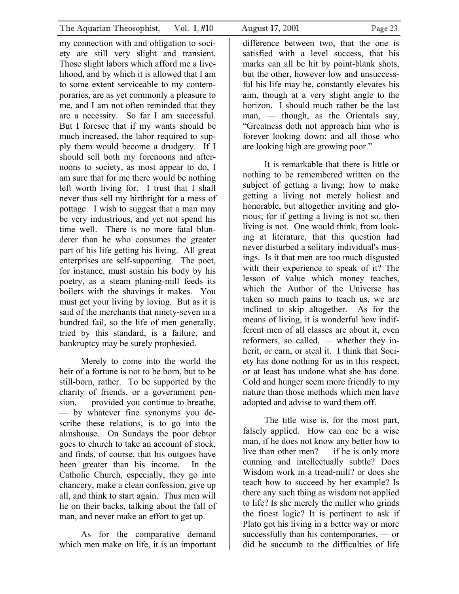my connection with and obligation to society are still very slight and transient. Those slight labors which afford me a livelihood, and by which it is allowed that I am to some extent serviceable to my contemporaries, are as yet commonly a pleasure to me, and I am not often reminded that they are a necessity. So far I am successful. But I foresee that if my wants should be much increased, the labor required to supply them would become a drudgery. If I should sell both my forenoons and afternoons to society, as most appear to do, I am sure that for me there would be nothing left worth living for. I trust that I shall never thus sell my birthright for a mess of pottage. I wish to suggest that a man may be very industrious, and yet not spend his time well. There is no more fatal blunderer than he who consumes the greater part of his life getting his living. All great enterprises are self-supporting. The poet, for instance, must sustain his body by his poetry, as a steam planing-mill feeds its boilers with the shavings it makes. You must get your living by loving. But as it is said of the merchants that ninety-seven in a hundred fail, so the life of men generally, tried by this standard, is a failure, and bankruptcy may be surely prophesied.

Merely to come into the world the heir of a fortune is not to be born, but to be still-born, rather. To be supported by the charity of friends, or a government pension, — provided you continue to breathe, — by whatever fine synonyms you describe these relations, is to go into the almshouse. On Sundays the poor debtor goes to church to take an account of stock, and finds, of course, that his outgoes have been greater than his income. In the Catholic Church, especially, they go into chancery, make a clean confession, give up all, and think to start again. Thus men will lie on their backs, talking about the fall of man, and never make an effort to get up.

As for the comparative demand which men make on life, it is an important

difference between two, that the one is satisfied with a level success, that his marks can all be hit by point-blank shots, but the other, however low and unsuccessful his life may be, constantly elevates his aim, though at a very slight angle to the horizon. I should much rather be the last man, — though, as the Orientals say, "Greatness doth not approach him who is forever looking down; and all those who are looking high are growing poor."

It is remarkable that there is little or nothing to be remembered written on the subject of getting a living; how to make getting a living not merely holiest and honorable, but altogether inviting and glorious; for if getting a living is not so, then living is not. One would think, from looking at literature, that this question had never disturbed a solitary individual's musings. Is it that men are too much disgusted with their experience to speak of it? The lesson of value which money teaches, which the Author of the Universe has taken so much pains to teach us, we are inclined to skip altogether. As for the means of living, it is wonderful how indifferent men of all classes are about it, even reformers, so called, — whether they inherit, or earn, or steal it. I think that Society has done nothing for us in this respect, or at least has undone what she has done. Cold and hunger seem more friendly to my nature than those methods which men have adopted and advise to ward them off.

The title wise is, for the most part, falsely applied. How can one be a wise man, if he does not know any better how to live than other men? — if he is only more cunning and intellectually subtle? Does Wisdom work in a tread-mill? or does she teach how to succeed by her example? Is there any such thing as wisdom not applied to life? Is she merely the miller who grinds the finest logic? It is pertinent to ask if Plato got his living in a better way or more successfully than his contemporaries, — or did he succumb to the difficulties of life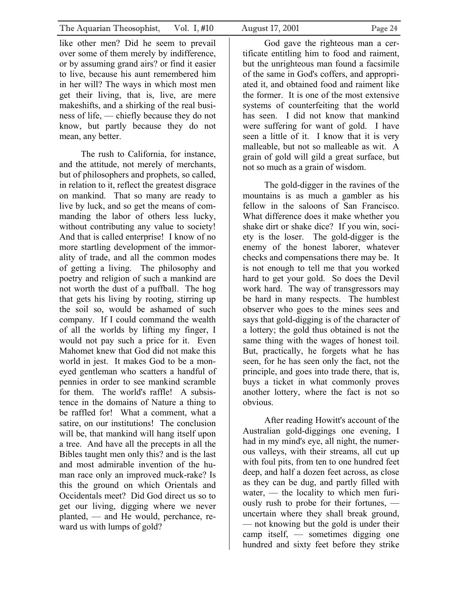like other men? Did he seem to prevail over some of them merely by indifference, or by assuming grand airs? or find it easier to live, because his aunt remembered him in her will? The ways in which most men get their living, that is, live, are mere makeshifts, and a shirking of the real business of life, — chiefly because they do not know, but partly because they do not mean, any better.

The rush to California, for instance, and the attitude, not merely of merchants, but of philosophers and prophets, so called, in relation to it, reflect the greatest disgrace on mankind. That so many are ready to live by luck, and so get the means of commanding the labor of others less lucky, without contributing any value to society! And that is called enterprise! I know of no more startling development of the immorality of trade, and all the common modes of getting a living. The philosophy and poetry and religion of such a mankind are not worth the dust of a puffball. The hog that gets his living by rooting, stirring up the soil so, would be ashamed of such company. If I could command the wealth of all the worlds by lifting my finger, I would not pay such a price for it. Even Mahomet knew that God did not make this world in jest. It makes God to be a moneyed gentleman who scatters a handful of pennies in order to see mankind scramble for them. The world's raffle! A subsistence in the domains of Nature a thing to be raffled for! What a comment, what a satire, on our institutions! The conclusion will be, that mankind will hang itself upon a tree. And have all the precepts in all the Bibles taught men only this? and is the last and most admirable invention of the human race only an improved muck-rake? Is this the ground on which Orientals and Occidentals meet? Did God direct us so to get our living, digging where we never planted, — and He would, perchance, reward us with lumps of gold?

God gave the righteous man a certificate entitling him to food and raiment, but the unrighteous man found a facsimile of the same in God's coffers, and appropriated it, and obtained food and raiment like the former. It is one of the most extensive systems of counterfeiting that the world has seen. I did not know that mankind were suffering for want of gold. I have seen a little of it. I know that it is very malleable, but not so malleable as wit. A grain of gold will gild a great surface, but not so much as a grain of wisdom.

The gold-digger in the ravines of the mountains is as much a gambler as his fellow in the saloons of San Francisco. What difference does it make whether you shake dirt or shake dice? If you win, society is the loser. The gold-digger is the enemy of the honest laborer, whatever checks and compensations there may be. It is not enough to tell me that you worked hard to get your gold. So does the Devil work hard. The way of transgressors may be hard in many respects. The humblest observer who goes to the mines sees and says that gold-digging is of the character of a lottery; the gold thus obtained is not the same thing with the wages of honest toil. But, practically, he forgets what he has seen, for he has seen only the fact, not the principle, and goes into trade there, that is, buys a ticket in what commonly proves another lottery, where the fact is not so obvious.

After reading Howitt's account of the Australian gold-diggings one evening, I had in my mind's eye, all night, the numerous valleys, with their streams, all cut up with foul pits, from ten to one hundred feet deep, and half a dozen feet across, as close as they can be dug, and partly filled with water, — the locality to which men furiously rush to probe for their fortunes, uncertain where they shall break ground, — not knowing but the gold is under their camp itself, — sometimes digging one hundred and sixty feet before they strike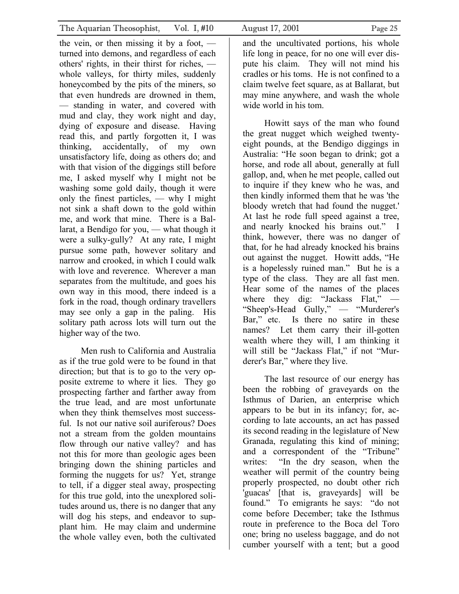the vein, or then missing it by a foot,  $$ turned into demons, and regardless of each others' rights, in their thirst for riches, whole valleys, for thirty miles, suddenly honeycombed by the pits of the miners, so that even hundreds are drowned in them, — standing in water, and covered with mud and clay, they work night and day, dying of exposure and disease. Having read this, and partly forgotten it, I was thinking, accidentally, of my own unsatisfactory life, doing as others do; and with that vision of the diggings still before me, I asked myself why I might not be washing some gold daily, though it were only the finest particles, — why I might not sink a shaft down to the gold within me, and work that mine. There is a Ballarat, a Bendigo for you, — what though it were a sulky-gully? At any rate, I might pursue some path, however solitary and narrow and crooked, in which I could walk with love and reverence. Wherever a man separates from the multitude, and goes his own way in this mood, there indeed is a fork in the road, though ordinary travellers may see only a gap in the paling. His solitary path across lots will turn out the higher way of the two.

Men rush to California and Australia as if the true gold were to be found in that direction; but that is to go to the very opposite extreme to where it lies. They go prospecting farther and farther away from the true lead, and are most unfortunate when they think themselves most successful. Is not our native soil auriferous? Does not a stream from the golden mountains flow through our native valley? and has not this for more than geologic ages been bringing down the shining particles and forming the nuggets for us? Yet, strange to tell, if a digger steal away, prospecting for this true gold, into the unexplored solitudes around us, there is no danger that any will dog his steps, and endeavor to supplant him. He may claim and undermine the whole valley even, both the cultivated

and the uncultivated portions, his whole life long in peace, for no one will ever dispute his claim. They will not mind his cradles or his toms. He is not confined to a claim twelve feet square, as at Ballarat, but may mine anywhere, and wash the whole wide world in his tom.

Howitt says of the man who found the great nugget which weighed twentyeight pounds, at the Bendigo diggings in Australia: "He soon began to drink; got a horse, and rode all about, generally at full gallop, and, when he met people, called out to inquire if they knew who he was, and then kindly informed them that he was 'the bloody wretch that had found the nugget.' At last he rode full speed against a tree, and nearly knocked his brains out." I think, however, there was no danger of that, for he had already knocked his brains out against the nugget. Howitt adds, "He is a hopelessly ruined man." But he is a type of the class. They are all fast men. Hear some of the names of the places where they dig: "Jackass Flat," — "Sheep's-Head Gully," — "Murderer's Bar," etc. Is there no satire in these names? Let them carry their ill-gotten wealth where they will, I am thinking it will still be "Jackass Flat," if not "Murderer's Bar," where they live.

The last resource of our energy has been the robbing of graveyards on the Isthmus of Darien, an enterprise which appears to be but in its infancy; for, according to late accounts, an act has passed its second reading in the legislature of New Granada, regulating this kind of mining; and a correspondent of the "Tribune" writes: "In the dry season, when the weather will permit of the country being properly prospected, no doubt other rich 'guacas' [that is, graveyards] will be found." To emigrants he says: "do not come before December; take the Isthmus route in preference to the Boca del Toro one; bring no useless baggage, and do not cumber yourself with a tent; but a good